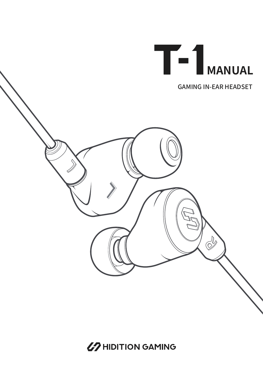

67 HIDITION GAMING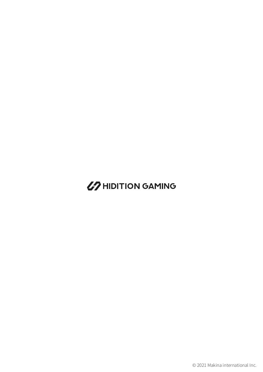## **67 HIDITION GAMING**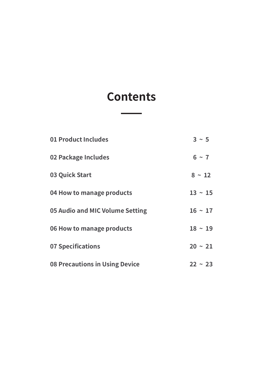## **Contents**

| 01 Product Includes             | $3 \sim 5$   |
|---------------------------------|--------------|
| 02 Package Includes             | $6 \sim 7$   |
| 03 Quick Start                  | $8 \sim 12$  |
| 04 How to manage products       | $13 \sim 15$ |
| 05 Audio and MIC Volume Setting | $16 \sim 17$ |
| 06 How to manage products       | $18 \sim 19$ |
| <b>07 Specifications</b>        | $20 \sim 21$ |
| 08 Precautions in Using Device  | $22 \sim 23$ |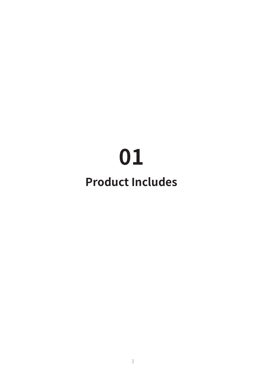# **Product Includes**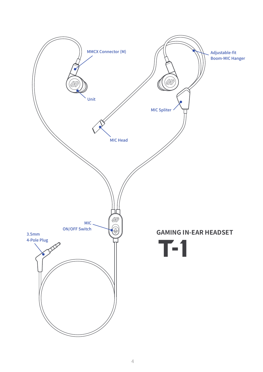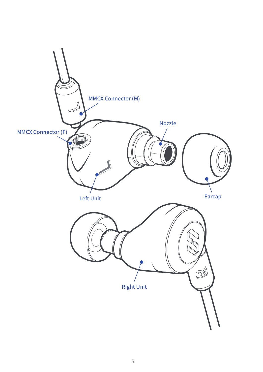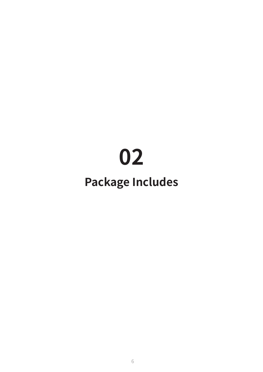# **Package Includes**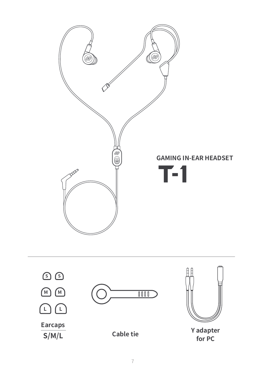

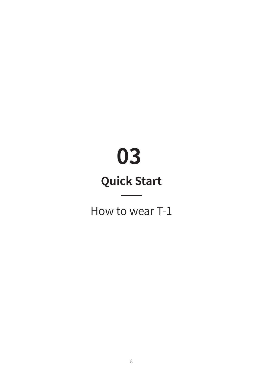## **Quick Start**

How to wear T-1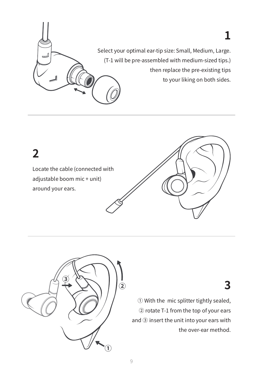

Locate the cable (connected with **2**

## adjustable boom mic + unit) around your ears.

## **3**

① With the mic splitter tightly sealed, ② rotate T-1 from the top of your ears and ③ insert the unit into your ears with the over-ear method.

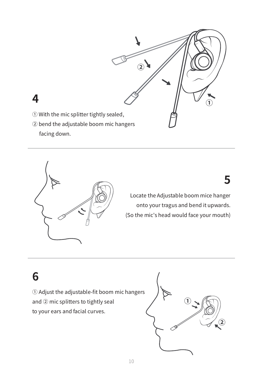

- ① With the mic splitter tightly sealed,
- ② bend the adjustable boom mic hangers facing down.



Locate the Adjustable boom mice hanger onto your tragus and bend it upwards. (So the mic's head would face your mouth)

## **6**

① Adjust the adjustable-fit boom mic hangers and ② mic splitters to tightly seal to your ears and facial curves.

![](_page_10_Picture_9.jpeg)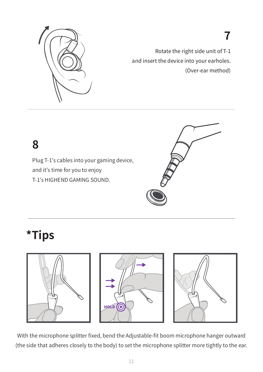![](_page_11_Picture_0.jpeg)

Rotate the right side unit of T-1 and insert the device into your earholes. (Over-ear method)

**7**

## **8**

Plug T-1's cables into your gaming device, and it's time for you to enjoy T-1's HIGHEND GAMING SOUND.

![](_page_11_Picture_4.jpeg)

## **\*Tips**

![](_page_11_Picture_6.jpeg)

![](_page_11_Picture_7.jpeg)

![](_page_11_Picture_8.jpeg)

With the microphone splitter fixed, bend the Adjustable-fit boom microphone hanger outward (the side that adheres closely to the body) to set the microphone splitter more tightly to the ear.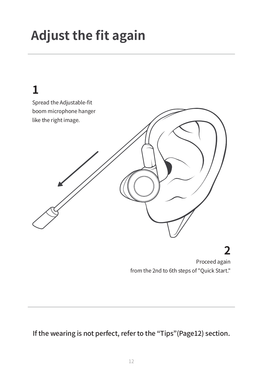# **Adjust the fit again**

![](_page_12_Figure_1.jpeg)

## **2**

Proceed again from the 2nd to 6th steps of "Quick Start."

If the wearing is not perfect, refer to the "Tips"(Page12) section.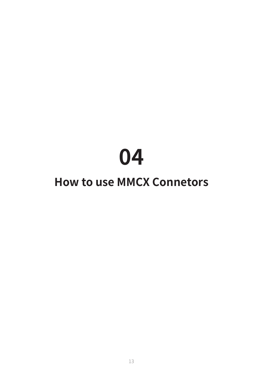## **How to use MMCX Connetors**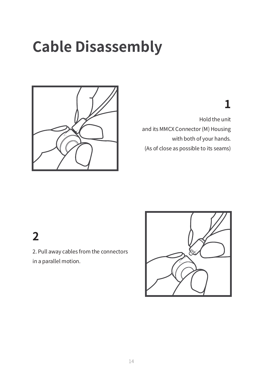# **Cable Disassembly**

![](_page_14_Picture_1.jpeg)

## **1**

Hold the unit and its MMCX Connector (M) Housing with both of your hands. (As of close as possible to its seams)

## **2**

2. Pull away cables from the connectors in a parallel motion.

![](_page_14_Picture_6.jpeg)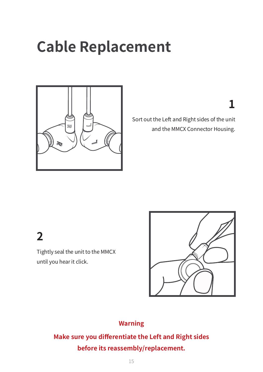# **Cable Replacement**

![](_page_15_Picture_1.jpeg)

**1**

Sort out the Left and Right sides of the unit and the MMCX Connector Housing.

## **2**

Tightly seal the unit to the MMCX until you hear it click.

![](_page_15_Picture_6.jpeg)

### **Warning**

**Make sure you differentiate the Left and Right sides before its reassembly/replacement.**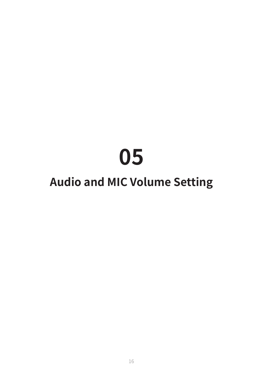## **Audio and MIC Volume Setting**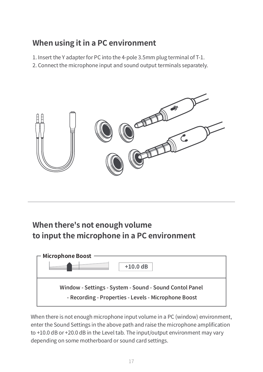### **When using it in a PC environment**

1. Insert the Y adapter for PC into the 4-pole 3.5mm plug terminal of T-1.

2. Connect the microphone input and sound output terminals separately.

![](_page_17_Picture_3.jpeg)

## **When there's not enough volume to input the microphone in a PC environment**

![](_page_17_Figure_5.jpeg)

When there is not enough microphone input volume in a PC (window) environment, enter the Sound Settings in the above path and raise the microphone amplification to +10.0 dB or +20.0 dB in the Level tab. The input/output environment may vary depending on some motherboard or sound card settings.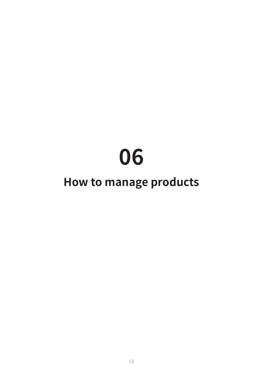## **How to manage products**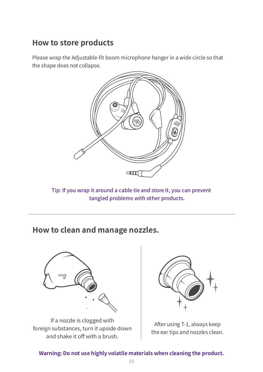### **How to store products**

Please wrap the Adjustable-fit boom microphone hanger in a wide circle so that the shape does not collapse.

![](_page_19_Figure_2.jpeg)

Tip: If you wrap it around a cable tie and store it, you can prevent tangled problems with other products.

### **How to clean and manage nozzles.**

![](_page_19_Picture_5.jpeg)

If a nozzle is clogged with foreign substances, turn it upside down and shake it off with a brush.

![](_page_19_Picture_7.jpeg)

After using T-1, always keep the ear tips and nozzles clean.

### **Warning: Do not use highly volatile materials when cleaning the product.**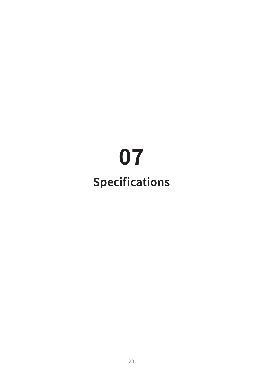# **Specifications**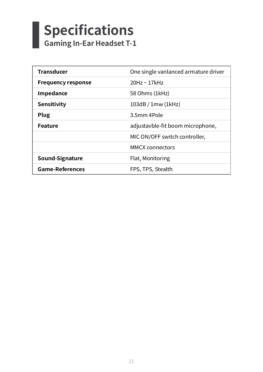### **Specifications** I **Gaming In-Ear Headset T-1**

| <b>Transducer</b>         | One single vanlanced armature driver |
|---------------------------|--------------------------------------|
| <b>Frequency response</b> | $20$ Hz ~ 17 $k$ Hz                  |
| Impedance                 | 58 Ohms (1kHz)                       |
| <b>Sensitivity</b>        | 103dB / 1mw (1kHz)                   |
| Plug                      | 3.5mm 4Pole                          |
| <b>Feature</b>            | adjustavble-fit boom microphone,     |
|                           | MIC ON/OFF switch controller,        |
|                           | <b>MMCX</b> connectors               |
| Sound-Signature           | Flat, Monitoring                     |
| <b>Game-References</b>    | FPS, TPS, Stealth                    |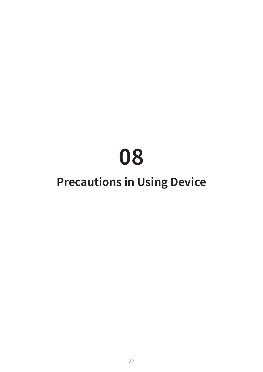## **Precautions in Using Device**